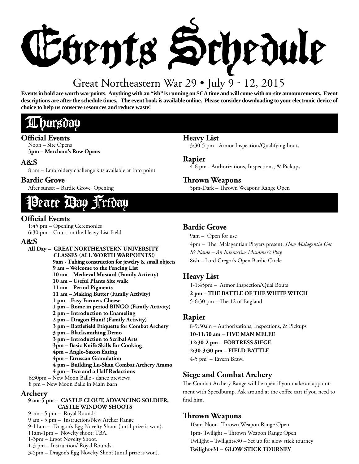

# Great Northeastern War 29 • July 9 - 12, 2015

**Events in bold are worth war points. Anything with an "ish" is running on SCA time and will come with on-site announcements. Event descriptions are after the schedule times. The event book is available online. Please consider downloading to your electronic device of choice to help us conserve resources and reduce waste!**

# Thursday

### **Official Events**

Noon – Site Opens **3pm – Merchant's Row Opens**

# **A&S**

8 am – Embroidery challenge kits available at Info point

# **Bardic Grove**

After sunset – Bardic Grove Opening

# eace **Bay Friday**

# **Official Events**

1:45 pm – Opening Ceremonies 6:30 pm – Court on the Heavy List Field

# **A&S**

**All Day – GREAT NORTHEASTERN UNIVERSITY CLASSES (ALL WORTH WARPOINTS!) 9am - Tubing construction for jewelry & small objects 9 am – Welcome to the Fencing List 10 am – Medieval Mustard (Family Activity) 10 am – Useful Plants Site walk 11 am – Period Pigments 11 am – Making Butter (Family Activity) 1 pm – Easy Farmers Cheese 1 pm – Rome in period BINGO (Family Activity) 2 pm – Introduction to Enameling 2 pm – Dragon Hunt! (Family Activity)** 3 pm – Battlefield Etiquette for Combat Archery **3 pm – Blacksmithing Demo 3 pm – Introduction to Scribal Arts 3pm – Basic Knife Skills for Cooking 4pm – Anglo-Saxon Eating 4pm – Etruscan Granulation 4 pm – Building Lu-Shan Combat Archery Ammo 4 pm – Two and a Half Redactions**

6:30pm – New Moon Balle - dance previews 8 pm – New Moon Balle in Main Barn

### **Archery**

#### **9 am-5 pm** – **CASTLE CLOUT, ADVANCING SOLDIER, CASTLE WINDOW SHOOTS**

9 am - 5 pm – Royal Rounds 9 am - 5 pm – Instruction/New Archer Range 9-11am – Dragon's Egg Novelty Shoot (until prize is won). 11am-1pm – Novelty shoot: TBA. 1-3pm – Ergot Novelty Shoot. 1-3 pm – Instruction/ Royal Rounds. 3-5pm – Dragon's Egg Novelty Shoot (until prize is won).

# **Heavy List**

3:30-5 pm - Armor Inspection/Qualifying bouts

### **Rapier**

4-6 pm - Authorizations, Inspections, & Pickups

# **Th rown Weapons**

5pm-Dark - Thrown Weapons Range Open

# **Bardic Grove**

9am – Open for use

4pm – The Malagentian Players present: *How Malagentia Got*<br>It's Name – An Interactive Mummer's Play. *It's Name – An Interactive Mummer's Play.* 8ish – Lord Gregor's Open Bardic Circle

# **Heavy List**

1-1:45pm – Armor Inspection/Qual Bouts **2 pm** – **THE BATTLE OF THE WHITE WITCH**  $5-6:30$  pm  $-$  The 12 of England

### **Rapier**

8-9:30am – Authorizations, Inspections, & Pickups **10-11:30 am** – **FIVE MAN MELEE 12:30-2 pm** – **FORTRESS SIEGE 2:30-3:30 pm** – **FIELD BATTLE** 4-5 pm – Tavern Brawl

# **Siege and Combat Archery**

The Combat Archery Range will be open if you make an appointment with Speedbump. Ask around at the coffee cart if you need to find him.

# **Th rown Weapons**

10am-Noon- Thrown Weapon Range Open 1pm- Twilight – Thrown Weapon Range Open Twilight – Twilight+30 – Set up for glow stick tourney **Twilight+31 – GLOW STICK TOURNEY**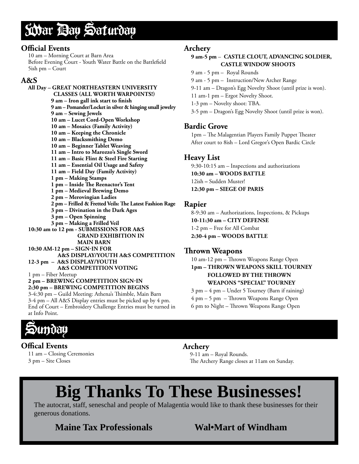# War Day Saturday

### **Official Events**

10 am – Morning Court at Barn Area Before Evening Court - Youth Water Battle on the Battlefield 5ish pm – Court

# **A&S**

#### **All Day – GREAT NORTHEASTERN UNIVERSITY CLASSES (ALL WORTH WARPOINTS!)** 9 am – Iron gall ink start to finish **9 am – Pomander/Locket in silver & hinging small jewelry 9 am – Sewing Jewels 10 am – Lucet Cord-Open Workshop 10 am – Mosaics (Family Activity) 10 am – Keeping the Chronicle 10 am – Blacksmithing Demo 10 am – Beginner Tablet Weaving 11 am – Intro to Marozzo's Single Sword 11 am – Basic Flint & Steel Fire Starting 11 am – Essential Oil Usage and Safety 11 am – Field Day (Family Activity) 1 pm – Making Stamps** 1 pm – Inside The Reenactor's Tent **1 pm – Medieval Brewing Demo 2 pm – Merovingian Ladies** 2 pm – Frilled & Fretted Veils: The Latest Fashion Rage **3 pm – Divination in the Dark Ages 3 pm – Open Spinning 3 pm – Making a Frilled Veil 10:30 am to 12 pm - SUBMISSIONS FOR A&S GRAND EXHIBITION IN MAIN BARN 10:30 AM-12 pm – SIGN-IN FOR A&S DISPLAY/YOUTH A&S COMPETITION 12-3 pm – A&S DISPLAY/YOUTH A&S COMPETITION VOTING** 1 pm – Fiber Meetup **2 pm – BREWING COMPETITION SIGN-IN 2:30 pm – BREWING COMPETITION BEGINS** 3-4:30 pm - Guild Meeting: Athena's Thimble, Main Barn

3-4 pm – All A&S Display entries must be picked up by 4 pm. End of Court – Embroidery Challenge Entries must be turned in at Info Point.

# **Archery**

#### **9 am-5 pm** – **CASTLE CLOUT, ADVANCING SOLDIER, CASTLE WINDOW SHOOTS**

- 9 am 5 pm Royal Rounds
- 9 am 5 pm Instruction/New Archer Range
- 9-11 am Dragon's Egg Novelty Shoot (until prize is won).
- 11 am-1 pm Ergot Novelty Shoot.
- 1-3 pm Novelty shoot: TBA.
- 3-5 pm Dragon's Egg Novelty Shoot (until prize is won).

# **Bardic Grove**

1pm - The Malagentian Players Family Puppet Theater After court to 8ish – Lord Gregor's Open Bardic Circle

# **Heavy List**

9:30-10:15 am – Inspections and authorizations **10:30 am – WOODS BATTLE** 12ish **–** Sudden Muster! **12:30 pm – SIEGE OF PARIS**

### **Rapier**

8-9:30 am – Authorizations, Inspections, & Pickups **10-11:30 am – CITY DEFENSE** 1-2 pm – Free for All Combat **2:30-4 pm – WOODS BATTLE**

# **Th rown Weapons**

10 am-12 pm - Thrown Weapons Range Open **1pm – THROWN WEAPONS SKILL TOURNEY FOLLOWED BY THE THROWN WEAPONS "SPECIAL" TOURNEY**

3 pm – 4 pm – Under 5 Tourney (Barn if raining)

 $4 \text{ pm} - 5 \text{ pm} - \text{Thrown}$  Weapons Range Open

6 pm to Night – Thrown Weapons Range Open



# **Offical Events**

11 am – Closing Ceremonies 3 pm – Site Closes

# **Archery**

9-11 am – Royal Rounds. The Archery Range closes at 11am on Sunday.

# **Big Thanks To These Businesses!**

The autocrat, staff, seneschal and people of Malagentia would like to thank these businesses for their generous donations.

**Maine Tax Professionals Wal•Mart of Windham**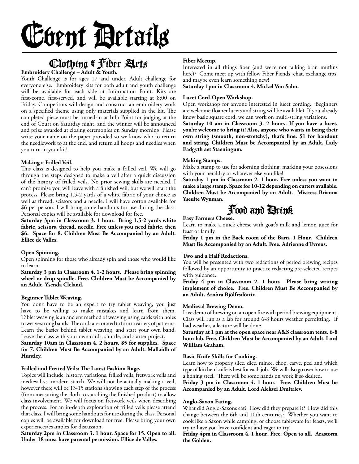# Event Details

# Clothing & Fiber Arts **Embroidery Challenge – Adult & Youth.**

Youth Challenge is for ages 17 and under. Adult challenge for everyone else. Embroidery kits for both adult and youth challenge will be available for each side at Information Point. Kits are first-come, first-served, and will be available starting at 8:00 on Friday. Competitors will design and construct an embroidery work on a specified theme using only materials supplied in the kit. The completed piece must be turned-in at Info Point for judging at the end of Court on Saturday night, and the winner will be announced and prize awarded at closing ceremonies on Sunday morning. Please write your name on the paper provided so we know who to return the needlework to at the end, and return all hoops and needles when you turn in your kit!

#### **Making a Frilled Veil.**

This class is designed to help you make a frilled veil. We will go through the steps designed to make a veil after a quick discussion of the history of frilled veils. No prior sewing skills are needed. I can't promise you will leave with a finished veil, but we will start the process. Please bring 1.5-2 yards of a white fabric of your choice as well as thread, scissors and a needle. I will have cotton available for \$6 per person. I will bring some handouts for use during the class. Personal copies will be available for download for free.

**Saturday 3pm in Classroom 3. 1 hour. Bring 1.5-2 yards white fabric, scissors, thread, needle. Free unless you need fabric, then \$6. Space for 8. Children Must Be Accompanied by an Adult. Ellice de Valles.**

#### **Open Spinning.**

Open spinning for those who already spin and those who would like to learn.

**Saturday 3 pm in Classroom 4. 1-2 hours. Please bring spinning wheel or drop spindle. Free. Children Must be Accompanied by an Adult . Ysenda Cleland.**

#### **Beginner Tablet Weaving.**

You don't have to be an expert to try tablet weaving, you just have to be willing to make mistakes and learn from them. Tablet weaving is an ancient method of weaving using cards with holes to weave strong bands. The cards are rotated to form a variety of patterns. Learn the basics behind tablet weaving, and start your own band. Leave the class with your own cards, shuttle, and starter project.

#### **Saturday 10am in Classroom 4. 2 hours. \$5 for supplies. Space for 7. Children Must Be Accompanied by an Adult. Mallaidh of Huntley.**

#### Frilled and Fretted Veils: The Latest Fashion Rage.

Topics will include: history, variations, frilled veils, fretwork veils and medieval vs. modern starch. We will not be actually making a veil, however there will be 13-15 stations showing each step of the process (from measuring the cloth to starching the finished product) to allow class involvement. We will focus on fretwork veils when describing the process. For an in-depth exploration of frilled veils please attend that class. I will bring some handouts for use during the class. Personal copies will be available for download for free. Please bring your own experiences/examples for discussion.

**Saturday 2pm in Classroom 3. 1 hour. Space for 15. Open to all. Under 18 must have parental permission. Ellice de Valles.**

#### **Fiber Meetup.**

Interested in all things fiber (and we're not talking bran muffins here)? Come meet up with fellow Fiber Fiends, chat, exchange tips, and maybe even learn something new!

**Saturday 1pm in Classroom 4. Mickel Von Salm.**

#### **Lucet Cord-Open Workshop.**

Open workshop for anyone interested in lucet cording. Beginners are welcome (loaner lucets and string will be available). If you already know basic square cord, we can work on multi-string variations.

**Saturday 10 am in Classroom 3. 2 hours. If you have a lucet, you're welcome to bring it! Also, anyone who wants to bring their**  own string (smooth, non-stretchy), that's fine. \$1 for handout **and string. Children Must be Accompanied by an Adult. Lady Eadgyth aet Staeningum.**

#### **Making Stamps.**

Make a stamp to use for adorning clothing, marking your posessions with your heraldry or whatever else you like!

**Saturday 1 pm in Classroom 2. 1 hour. Free unless you want to make a large stamp. Space for 10-12 depending on cutters available. Children Must be Accompanied by an Adult. Mistress Brianna Yseulte Wynman.** 

# Food and Drink

### **Easy Farmers Cheese.**

Learn to make a quick cheese with goat's milk and lemon juice for feast or family.

**Friday 1 pm in the Back room of the Barn. 1 Hour. Children Must Be Accompanied by an Adult. Free. Adrienne d'Evreus.**

#### **Two and a Half Redactions.**

You will be presented with two redactions of period brewing recipes followed by an opportunity to practice redacting pre-selected recipes with guidance.

**Friday 4 pm in Classroom 2. 1 hour. Please bring writing implement of choice. Free. Children Must Be Accompanied by an Adult. Arnòra Bjòlfrsdòttir.**

#### **Medieval Brewing Demo.**

Live demo of brewing on an open fire with period brewing equipment. Class will run as a lab for around 6-8 hours weather permitting. If bad weather, a lecture will be done.

**Saturday at 1 pm at the open space near A&S classroom tents. 6-8 hour lab. Free. Children Must be Accompanied by an Adult. Lord William Graham.**

#### **Basic Knife Skills for Cooking.**

Learn how to properly slice, dice, mince, chop, carve, peel and which type of kitchen knife is best for each job. We will also go over how to use a honing steel. There will be some hands on work if so desired.

**Friday 3 pm in Classroom 4. 1 hour. Free. Children Must be Accompanied by an Adult. Lord Aleksei Dmitriev.**

#### **Anglo-Saxon Eating.**

What did Anglo-Saxons eat? How did they prepare it? How did this change between the 6th and 10th centuries? Whether you want to cook like a Saxon while camping, or choose tableware for feasts, we'll try to have you leave confident and eager to try!

**Friday 4pm in Classroom 4. 1 hour . Free. Open to all. Arastorm the Golden.**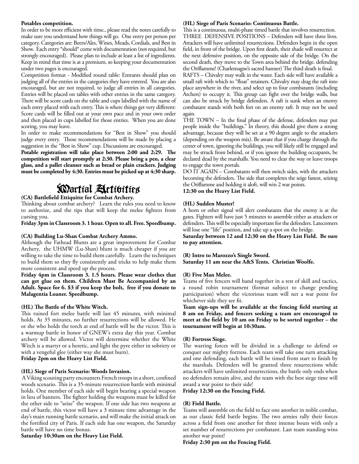#### **Potables competition.**

In order to be more efficient with time., please read the notes carefully to make sure you understand how things will go. One entry per person per category. Categories are: Beers/Ales, Wines, Meads, Cordials, and Best in Show. Each entry \*should\* come with documentation (not required, but strongly encouraged). Please plan to include at least a list of ingredients. Keep in mind that time is at a premium, so keeping your documentation under two pages is encouraged.

Competition format - Modified round table: Entrants should plan on judging all of the entries in the categories they have entered. You are also encouraged, but are not required, to judge all entries in all categories. Entries will be placed on tables with other entries in the same category. There will be score cards on the table and cups labelled with the name of each entry placed with each entry. This is where things get very different: Score cards will be filled out at your own pace and in your own order and then placed in cups labelled for those entries. When you are done scoring, you may leave.

In order to make recommendations for "Best in Show" you should judge every entry. Those recommendations will be made by placing a suggestion in the "Best in Show" cup. Discussions are encouraged.

Potable registration will take place between 2:00 and 2:29. The **competition will start promptly at 2:30. Please bring a pen, a clear glass, and a pallet cleanser such as bread or plain crackers. Judging must be completed by 4:30. Entries must be picked up at 4:30 sharp.**

# Wartial Activities

#### (CA) Battlefield Ettiquitte for Combat Archery.

Thinking about combat archery? Learn the rules you need to know to authorize, and the tips that will keep the melee fighters from cursing you.

**Friday 3pm in Classroom 3. 1 hour. Open to all. Free. Speedbump.**

#### **(CA) Building Lu-Shan Combat Archery Ammo.**

Although the Fathead Blunts are a great improvement for Combat Archery, the UHMW (Lu-Shan) blunt is much cheaper if you are willing to take the time to build them carefully. Learn the techniques to build them so they fly consistently and tricks to help make them more consistent and speed up the process.

**Friday 4pm in Classroom 3. 1.5 hours. Please wear clothes that can get glue on them. Children Must Be Accompanied by an Adult. Space for 6. \$3 if you keep the bolt, free if you donate to Malagentia Loaner. Speedbump.**

#### (HL) The Battle of the White Witch.

This ruined fort melee battle will last 45 minutes, with minimal holds. At 35 minutes, no further resurrections will be allowed. He or she who holds the torch at end of battle will be the victor. This is a warmup battle in honor of GNEW's extra day this year. Combat archery will be allowed. Victor will determine whether the White Witch is a martyr or a heretic, and light the pyre either in sobriety or with a vengeful glee (either way she must burn).

**Friday 2pm on the Heavy List Field.**

#### **(HL) Siege of Paris Scenario: Woods Invasion.**

A Viking scouting party encounters French troops in a short, confined woods scenario. This is a 35-minute resurrection battle with minimal holds. One member of each side will begin bearing a special weapon in lieu of banners. The fighter holding the weapons must be killed for the other side to "seize" the weapon. If one side has two weapons at end of battle, this victor will have a 3 minute time advantage in the day's main running battle scenario, and will make the initial attack on the fortified city of Paris. If each side has one weapon, the Saturday battle will have no time bonus.

#### **Saturday 10:30am on the Heavy List Field.**

#### **(HL) Siege of Paris Scenario: Continuous Battle.**

This is a continuous, multi-phase timed battle that involves resurrection. THREE DEFENSIVE POSITIONS – Defenders will have three lives. Attackers will have unlimited resurrections. Defenders begin in the open field, in front of the bridge. Upon first death, their shade will resurrect at the next defensive position, on the opposite side of the bridge. On the second death, they move to the Town area behind the bridge. defending the Oriflamme! (Charlemagne's sacred banner) The third death is final.

RAFTS – Chivalry may walk in the water. Each side will have available a small raft with which to "float" retainers. Chivalry may drag the raft into place anywhere in the river, and select up to four combatants (including Archers) to occupy it. This group can fight over the bridge walls, but can also be struck by bridge defenders. A raft is sunk when an enemy combatant stands with both feet on an enemy raft. It may not be used again.

THE TOWN - In the final phase of the defense, defenders may put people inside the "buildings." In theory, this should give them a strong advantage, because they will be set at a 90 degree angle to the attackers (depending on the weapon mix). Be aware that if you charge through the center of town, ignoring the buildings, you will likely still be engaged and may be struck from behind, or if you ignore the building occupants, be declared dead by the marshalls. You need to clear the way or leave troops to engage the town portals.

DO IT AGAIN – Combatants will then switch sides, with the attackers becoming the defenders. The side that completes the seige fastest, seizing the Oriflamme and holding it aloft, will win 2 war points.

**12:30 on the Heavy List Field.**

#### **(HL) Sudden Muster!**

A horn or other signal will alert combatants that the enemy is at the gates. Fighters will have just 5 minutes to assemble either as attackers or defenders. This will be especially important for the defenders. Latecomers will lose one "life" position, and take up a spot on the bridge.

**Saturday between 12 and 12:30 on the Heavy List Field. Be sure to pay attention.**

#### **(R) Intro to Marozzo's Single Sword.**

**Saturday 11 am near the A&S Tents. Christian Woolfe.**

#### **(R) Five Man Melee.**

Teams of five fencers will band together in a test of skill and tactics, a round robin tournament (format subject to change pending participation) where the victorious team will net a war point for whichever side they see fit.

Team sign-ups will be available at the fencing field starting at **8 am on Friday, and fencers seeking a team are encouraged to**  meet at the field by 10 am on Friday to be sorted together – the **tournament will begin at 10:30am.**

#### **(R) Fortress Siege.**

The warring forces will be divided in a challenge to defend or conquer our mighty fortress. Each team will take one turn attacking and one defending, each battle will be timed from start to finish by the marshals. Defenders will be granted three resurrections while attackers will have unlimited resurrections, the battle only ends when no defenders remain alive, and the team with the best siege time will award a war point to their side!

**Friday 12:30 on the Fencing Field.**

#### **(R) Field Battle.**

Teams will assemble on the field to face one another in noble combat, as our classic field battle begins. The two armies rally their forces across a field from one another for three intense bouts with only a set number of resurrections per combatant. Last team standing wins another war point!

**Friday 2:30 pm on the Fencing Field.**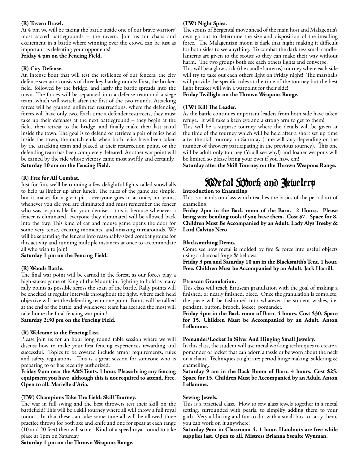#### **(R) Tavern Brawl.**

At 4 pm we will be taking the battle inside one of our brave warriors' most sacred battlegrounds – the tavern. Join us for chaos and excitement in a battle where winning over the crowd can be just as important as defeating your opponents!

#### **Friday 4 pm on the Fencing Field.**

#### **(R) City Defense.**

An intense bout that will test the resilience of our fencers, the city defense scenario consists of three key battlegrounds: First, the broken field, followed by the bridge, and lastly the battle spreads into the town. The forces will be separated into a defense team and a siege team, which will switch after the first of the two rounds. Attacking forces will be granted unlimited resurrections, where the defending forces will have only two. Each time a defender resurrects, they must take up their defenses at the next battleground – they begin at the field, then retreat to the bridge, and finally make their last stand inside the town. The goal is to defend or retrieve a pair of relics held inside the town, the match ends when both relics have been taken by the attacking team and placed at their resurrection point, or the defending team has been completely defeated. Another war point will be earned by the side whose victory came most swiftly and certainly. **Saturday 10 am on the Fencing Field.** 

#### **(R) Free for All Combat.**

Just for fun, we'll be running a few delightful fights called snowballs to help us limber up after lunch. The rules of the game are simple, but it makes for a great pit – everyone goes in at once, no teams, whenever you die you are eliminated and must remember the fencer who was responsible for your demise – this is because whenever a fencer is eliminated, everyone they eliminated will be allowed back into the fray. This kind of cat and mouse game opens the door for some very tense, exciting moments, and amazing turnarounds. We will be separating the fencers into reasonably-sized combat groups for this activity and running multiple instances at once to accommodate all who wish to join!

#### **Saturday 1 pm on the Fencing Field.**

#### **(R) Woods Battle.**

The final war point will be earned in the forest, as our forces play a high-stakes game of King of the Mountain, fighting to hold as many rally points as possible across the span of the battle. Rally points will be checked at regular intervals throughout the fight, where each held objective will net the defending team one point. Points will be tallied at the end of the battle, and whichever team has accrued the most will take home the final fencing war point!

#### **Saturday 2:30 pm on the Fencing Field.**

#### **(R) Welcome to the Fencing List.**

Please join us for an hour long round table session where we will discuss how to make your first fencing experiences rewarding and successful. Topics to be covered include armor requirements, rules and safety regulations. This is a great session for someone who is preparing to or has recently authorized.

#### **Friday 9 am near the A&S Tents. 1 hour. Please bring any fencing equipment you have, although this is not required to attend. Free. Open to all. Marielle d'Aria.**

#### **(TW) Champions Take The Field: Skill Tourney.**

The war in full swing and the best throwers test their skill on the battlefield! This will be a skill tourney where all will throw a full royal round. In that these can take some time all will be allowed three practice throws for both axe and knife and one for spear at each range (10 and 20 feet) then will score. Kind-of a speed royal round to take place at 1pm on Saturday.

Saturday 1 pm on the Thrown Weapons Range.

#### **(TW) Night Spies.**

The scouts of Bergental move ahead of the main host and Malagentia's own go out to determine the size and disposition of the invading force. The Malagentian moon is dark that night making it difficult for both sides to see anything. To combat the darkness small candlelanterns are given to the scouts so they can make their way without harm. The two groups both see each others lights and converge.

This will be a glow stick (the candle lanterns) tourney where each side will try to take out each others light on Friday night! The marshalls will provide the specific rules at the time of the tourney but the best light breaker will win a warpoint for their side!

#### Friday Twillight on the Thrown Weapons Range.

#### (TW) Kill The Leader.

As the battle continues important leaders from both side have taken refuge. It will take a keen eye and a strong arm to get to them!

This will be a surprise tourney where the details will be given at the time of the tourney which will be held after a short set up time after the skill tourney on Saturday (time will vary depending on the number of throwers participating in the previous tourney). This one will be adult only tourney (You'll see why!) and loaner weapons will be limited so please bring your own if you have em!

Saturday after the Skill Tourney on the Thrown Weapons Range.

# Metal Work and Jewelery **Introduction to Enameling**

This is a hands on class which teaches the basics of the period art of enameling.

**Friday 2pm in the Back room of the Barn. 2 Hours. Please bring wire bending tools if you have them. Cost \$7. Space for 8. Children Must Be Accompanied by an Adult. Lady Alys Treeby & Lord Calvius Nero**

#### **Blacksmithing Demo.**

Come see how metal is molded by fire & force into useful objects using a charcoal forge & bellows.

**Friday 3 pm and Saturday 10 am in the Blacksmith's Tent. 1 hour. Free. Children Must be Accompanied by an Adult. Jack Harrill.**

#### **Etruscan Granulation.**

This class will teach Etruscan granulation with the goal of making a finished, or nearly finished, piece. Once the granulation is complete, the piece will be fashioned into whatever the student wishes, i.e. pendant, button, brooch, locket, pomander.

**Friday 4pm in the Back room of Barn. 4 hours. Cost \$30. Space for 15. Children Must be Accompanied by an Adult. Anton**  Leflamme.

#### **Pomander/Locket In Silver And Hinging Small Jewelry.**

In this class, the student will use metal working techniques to create a pomander or locket that can adorn a tassle or be worn about the neck on a chain. Techniques taught are: period hinge making; soldering & enamelling.

**Saturday 9 am in the Back Room of Barn. 4 hours. Cost \$25. Space for 15. Children Must be Accompanied by an Adult. Anton**  Leflamme.

#### **Sewing Jewels.**

This is a practical class. How to sew glass jewels together in a metal setting, surrounded with pearls, to simplify adding them to your garb. Very addicting and fun to do; with a small box to carry them, you can work on it anywhere!

**Saturday 9am in Classroom 4. 1 hour. Handouts are free while supplies last. Open to all. Mistress Brianna Yseulte Wynman.**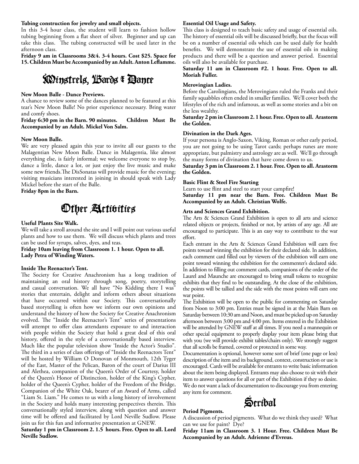#### **Tubing construction for jewelry and small objects.**

In this 3-4 hour class, the student will learn to fashion hollow tubing beginning from a flat sheet of silver. Beginner and up can take this class. The tubing constructed will be used later in the afternoon class.

**Friday 9 am in Classrooms 3&4. 3-4 hours. Cost \$25. Space for**  15. Children Must be Accompanied by an Adult. Anton Leflamme.

# Minstrels, Bards & Dance

#### **New Moon Balle - Dance Previews.**

A chance to review some of the dances planned to be featured at this tear's New Moon Balle! No prior experience necessary. Bring water and comfy shoes.

#### **Friday 6:30 pm in the Barn. 90 minutes. Children Must Be Accompanied by an Adult. Mickel Von Salm.**

#### **New Moon Balle.**

We are very pleased again this year to invite all our guests to the Malagentian New Moon Balle. Dance in Malagentia, like almost everything else, is fairly informal; we welcome everyone to stop by, dance a little, dance a lot, or just enjoy the live music and make some new friends. The DisSonatas will provide music for the evening; visiting musicians interested in joining in should speak with Lady Mickel before the start of the Balle.

**Friday 8pm in the Barn.**

# Other Activities

#### **Useful Plants Site Walk.**

We will take a stroll around the site and I will point out various useful plants and how to use them. We will discuss which plants and trees can be used for syrups, salves, dyes, and teas.

#### **Friday 10am leaving from Classroom 1. 1 hour. Open to all. Lady Petra of Winding Waters.**

#### **Inside The Reenactor's Tent.**

The Society for Creative Anachronism has a long tradition of maintaining an oral history through song, poetry, storytelling and casual conversation. We all have "No Kidding there I was" stories that entertain, delight and inform others about situations that have occurred within our Society. This conversationally based storytelling is often how we inform our own opinions and understand the history of how the Society for Creative Anachronism evolved. The "Inside the Reenactor's Tent" series of presentations will attempt to offer class attendants exposure to and interaction with people within the Society that hold a great deal of this oral history, offered in the style of a conversationally based interview. Much like the popular television show 'Inside the Actor's Studio". The third in a series of class offerings of "Inside the Reenactors Tent" will be hosted by William O Donovan of Monmouth, 12th Tyger of the East, Master of the Pelican, Baron of the court of Darius III and Alethea, companion of the Queen's Order of Courtesy, holder of the Queen's Honor of Distinction, holder of the King's Cypher, holder of the Queen's Cypher, holder of the Freedom of the Bridge, Companion of the White Oak, bearer of an Award of Arms, called "Liam St. Liam." He comes to us with a long history of involvement in the Society and holds many interesting perspectives therein. This conversationally styled interview, along with question and answer time will be offered and facilitated by Lord Neville Sudlow. Please join us for this fun and informative presentation at GNEW.

**Saturday 1 pm in Classroom 2. 1.5 hours. Free. Open to all. Lord Neville Sudlow.** 

#### **Essential Oil Usage and Safety.**

This class is designed to teach basic safety and usage of essential oils. The history of essential oils will be discussed briefly, but the focus will be on a number of essential oils which can be used daily for health benefits. We will demonstrate the use of essential oils in making products and there will be a question and answer period. Essential oils will also be available for purchase.

#### **Saturday 11 am in Classroom #2. 1 hour. Free. Open to all. Moriah Fuller.**

#### **Merovingian Ladies.**

Before the Carolingians, the Merovingians ruled the Franks and their family squabbles often ended in smaller families. We'll cover both the lifestyles of the rich and infamous, as well as some stories and a bit on the less wealthy.

#### **Saturday 2 pm in Classroom 2. 1 hour. Free. Open to all. Arastorm the Golden.**

#### **Divination in the Dark Ages.**

If your persona is Anglo-Saxon, Viking, Roman or other early period, you are not going to be using Tarot cards; perhaps runes are more appropriate, but palmistry and astrology are as well. We'll go through the many forms of divination that have come down to us.

**Saturday 3 pm in Classroom 2. 1 hour. Free. Open to all. Arastorm the Golden.** 

#### **Basic Flint & Steel Fire Starting**

Learn to use flint and steel to start your campfire!

**Saturday 11 pm near the Barn. Free. Children Must Be Accompanied by an Adult. Christian Wolfe.** 

#### **Arts and Sciences Grand Exhibition.**

The Arts & Sciences Grand Exhibition is open to all arts and science related objects or projects, finished or not, by artists of any age. All are encouraged to participate. This is an easy way to contribute to the war effort.

Each entrant in the Arts & Sciences Grand Exhibition will earn five points toward winning the exhibition for their declared side. In addition, each comment card filled out by viewers of the exhibition will earn one point toward winning the exhibition for the commenter's declared side. In addition to filling out comment cards, companions of the order of the Laurel and Maunche are encouraged to bring small tokens to recognize exhibits that they find to be outstanding. At the close of the exhibition, the points will be tallied and the side with the most points will earn one war point.

The Exhibition will be open to the public for commenting on Saturday from Noon to 3:00 pm. Entries must be signed in at the Main Barn on Saturday between 10:30 am and Noon, and must be picked up on Saturday afternoon between 3:00 pm and 4:00 pm. Items entered in the Exhibition will be attended by GNEW staff at all times. If you need a mannequin or other special equipment to properly display your item please bring that with you (we will provide exhibit tables/chairs only). We strongly suggest that all scrolls be framed, covered or protected in some way.

Documentation is optional, however some sort of brief (one page or less) description of the item and its background, context, construction or use is encouraged. Cards will be available for entrants to write basic information about the item being displayed. Entrants may also choose to sit with their item to answer questions for all or part of the Exhibition if they so desire. We do not want a lack of documentation to discourage you from entering any item for comment.



#### **Period Pigments.**

A discussion of period pigments. What do we think they used? What can we use for paint? Dye?

**Friday 11am in Classroom 3. 1 Hour. Free. Children Must Be Accompanied by an Adult. Adrienne d'Evreus.**